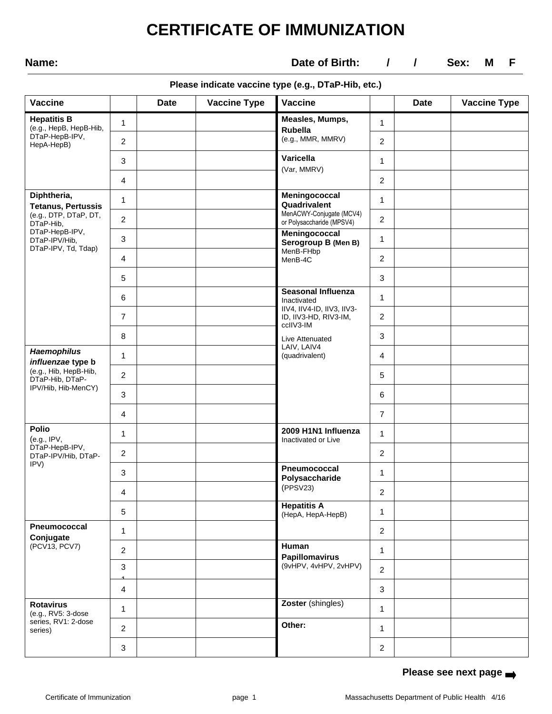## **CERTIFICATE OF IMMUNIZATION**

### **Name: Date of Birth:**  $\sqrt{2}$  **Sex:** M F

#### **Please indicate vaccine type (e.g., DTaP-Hib, etc.)**

| <b>Vaccine</b>                                                                                                                           |                | <b>Date</b> | <b>Vaccine Type</b> | <b>Vaccine</b>                                                                                                                                                   |                | <b>Date</b> | <b>Vaccine Type</b> |
|------------------------------------------------------------------------------------------------------------------------------------------|----------------|-------------|---------------------|------------------------------------------------------------------------------------------------------------------------------------------------------------------|----------------|-------------|---------------------|
| <b>Hepatitis B</b><br>(e.g., HepB, HepB-Hib,<br>DTaP-HepB-IPV,<br>HepA-HepB)                                                             | $\mathbf{1}$   |             |                     | Measles, Mumps,<br><b>Rubella</b><br>(e.g., MMR, MMRV)                                                                                                           | $\mathbf{1}$   |             |                     |
|                                                                                                                                          | $\overline{c}$ |             |                     |                                                                                                                                                                  | $\overline{2}$ |             |                     |
|                                                                                                                                          | 3              |             |                     | Varicella<br>(Var, MMRV)                                                                                                                                         | 1              |             |                     |
|                                                                                                                                          | 4              |             |                     |                                                                                                                                                                  | $\overline{2}$ |             |                     |
| Diphtheria,<br><b>Tetanus, Pertussis</b><br>(e.g., DTP, DTaP, DT,<br>DTaP-Hib,<br>DTaP-HepB-IPV,<br>DTaP-IPV/Hib,<br>DTaP-IPV, Td, Tdap) | 1              |             |                     | Meningococcal<br>Quadrivalent<br>MenACWY-Conjugate (MCV4)<br>or Polysaccharide (MPSV4)                                                                           | $\mathbf{1}$   |             |                     |
|                                                                                                                                          | 2              |             |                     |                                                                                                                                                                  | $\overline{a}$ |             |                     |
|                                                                                                                                          | 3              |             |                     | Meningococcal<br>Serogroup B (Men B)<br>MenB-FHbp<br>MenB-4C                                                                                                     | 1              |             |                     |
|                                                                                                                                          | 4              |             |                     |                                                                                                                                                                  | $\overline{a}$ |             |                     |
|                                                                                                                                          | 5              |             |                     |                                                                                                                                                                  | $\mathbf{3}$   |             |                     |
|                                                                                                                                          | 6              |             |                     | <b>Seasonal Influenza</b><br>Inactivated<br>IIV4, IIV4-ID, IIV3, IIV3-<br>ID, IIV3-HD, RIV3-IM,<br>ccIIV3-IM<br>Live Attenuated<br>LAIV, LAIV4<br>(quadrivalent) | $\mathbf{1}$   |             |                     |
|                                                                                                                                          | $\overline{7}$ |             |                     |                                                                                                                                                                  | $\overline{a}$ |             |                     |
|                                                                                                                                          | 8              |             |                     |                                                                                                                                                                  | 3              |             |                     |
| <b>Haemophilus</b><br>influenzae type b                                                                                                  | 1              |             |                     |                                                                                                                                                                  | 4              |             |                     |
| (e.g., Hib, HepB-Hib,<br>DTaP-Hib, DTaP-                                                                                                 | 2              |             |                     |                                                                                                                                                                  | 5              |             |                     |
| IPV/Hib, Hib-MenCY)                                                                                                                      | 3              |             |                     |                                                                                                                                                                  | 6              |             |                     |
|                                                                                                                                          | 4              |             |                     |                                                                                                                                                                  | $\overline{7}$ |             |                     |
| Polio<br>(e.g., IPV,<br>DTaP-HepB-IPV,<br>DTaP-IPV/Hib, DTaP-<br>IPV)                                                                    | 1              |             |                     | 2009 H1N1 Influenza<br>Inactivated or Live                                                                                                                       | $\mathbf{1}$   |             |                     |
|                                                                                                                                          | $\overline{c}$ |             |                     |                                                                                                                                                                  | $\overline{a}$ |             |                     |
|                                                                                                                                          | 3              |             |                     | Pneumococcal<br>Polysaccharide<br>(PPSV23)                                                                                                                       | 1              |             |                     |
|                                                                                                                                          | $\overline{4}$ |             |                     |                                                                                                                                                                  | 2              |             |                     |
|                                                                                                                                          | 5              |             |                     | <b>Hepatitis A</b><br>(HepA, HepA-HepB)                                                                                                                          | $\mathbf{1}$   |             |                     |
| Pneumococcal<br>Conjugate<br>(PCV13, PCV7)                                                                                               | 1              |             |                     |                                                                                                                                                                  | $\overline{2}$ |             |                     |
|                                                                                                                                          | $\overline{2}$ |             |                     | Human<br>Papillomavirus<br>(9vHPV, 4vHPV, 2vHPV)                                                                                                                 | 1              |             |                     |
|                                                                                                                                          | 3              |             |                     |                                                                                                                                                                  | $\overline{2}$ |             |                     |
|                                                                                                                                          | 4              |             |                     |                                                                                                                                                                  | 3              |             |                     |
| <b>Rotavirus</b><br>(e.g., RV5: 3-dose<br>series, RV1: 2-dose<br>series)                                                                 | $\mathbf{1}$   |             |                     | Zoster (shingles)                                                                                                                                                | $\mathbf{1}$   |             |                     |
|                                                                                                                                          | $\overline{2}$ |             |                     | Other:                                                                                                                                                           | 1              |             |                     |
|                                                                                                                                          | 3              |             |                     |                                                                                                                                                                  | $\overline{2}$ |             |                     |

#### **Please see next page**